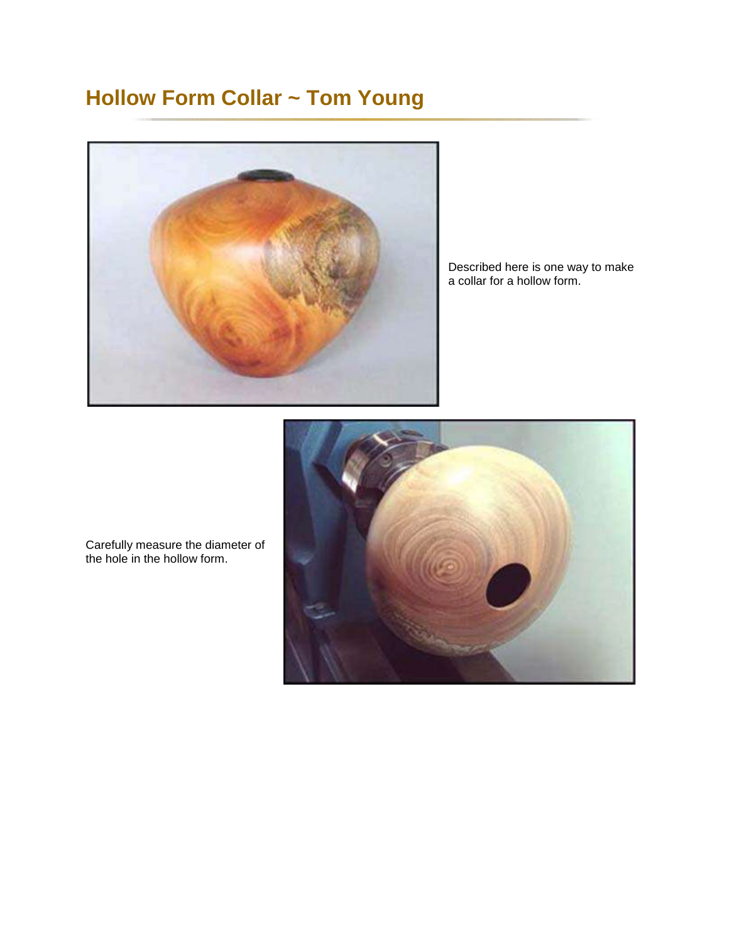## **Hollow Form Collar ~ Tom Young**



Described here is one way to make a collar for a hollow form.



Carefully measure the diameter of the hole in the hollow form.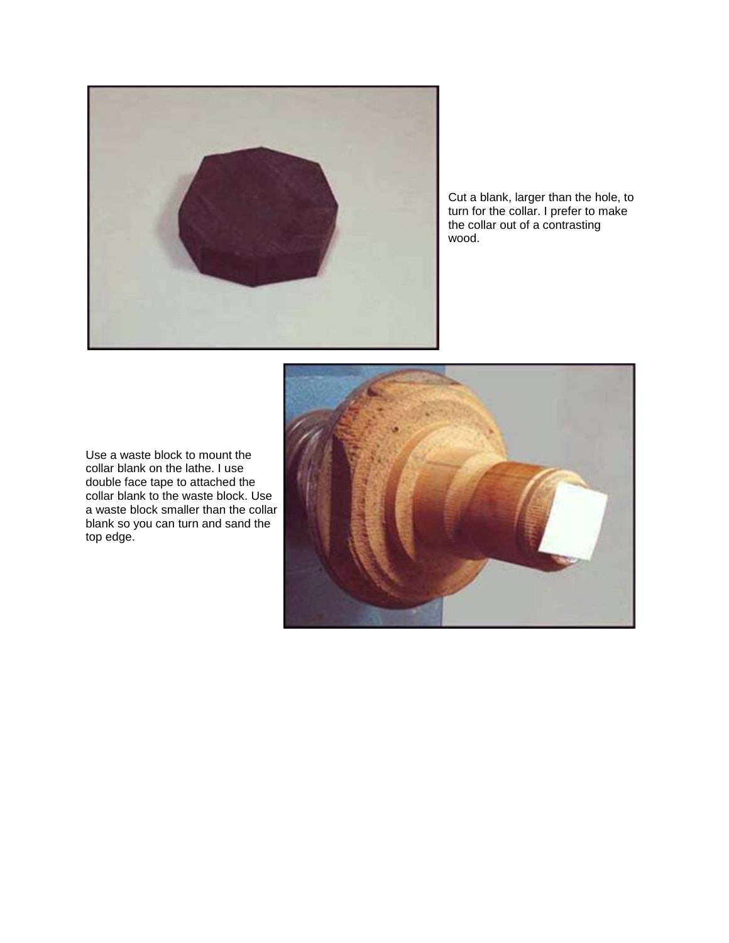

Cut a blank, larger than the hole, to turn for the collar. I prefer to make the collar out of a contrasting wood.



Use a waste block to mount the collar blank on the lathe. I use double face tape to attached the collar blank to the waste block. Use a waste block smaller than the collar blank so you can turn and sand the top edge.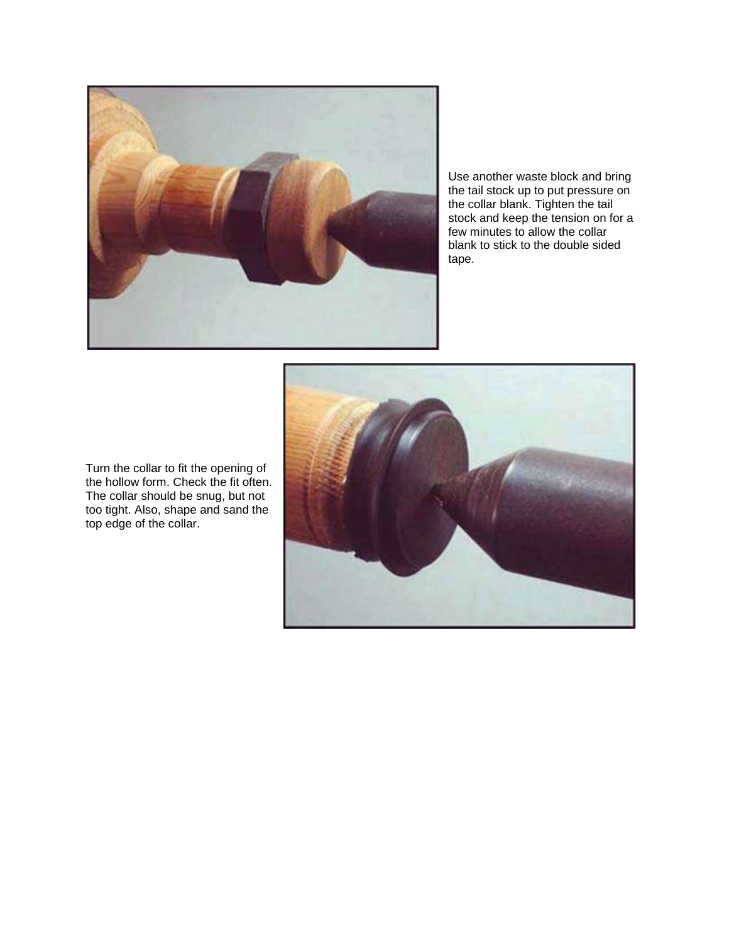

Use another waste block and bring the tail stock up to put pressure on the collar blank. Tighten the tail stock and keep the tension on for a few minutes to allow the collar blank to stick to the double sided tape.

Turn the collar to fit the opening of the hollow form. Check the fit often. The collar should be snug, but not too tight. Also, shape and sand the top edge of the collar.

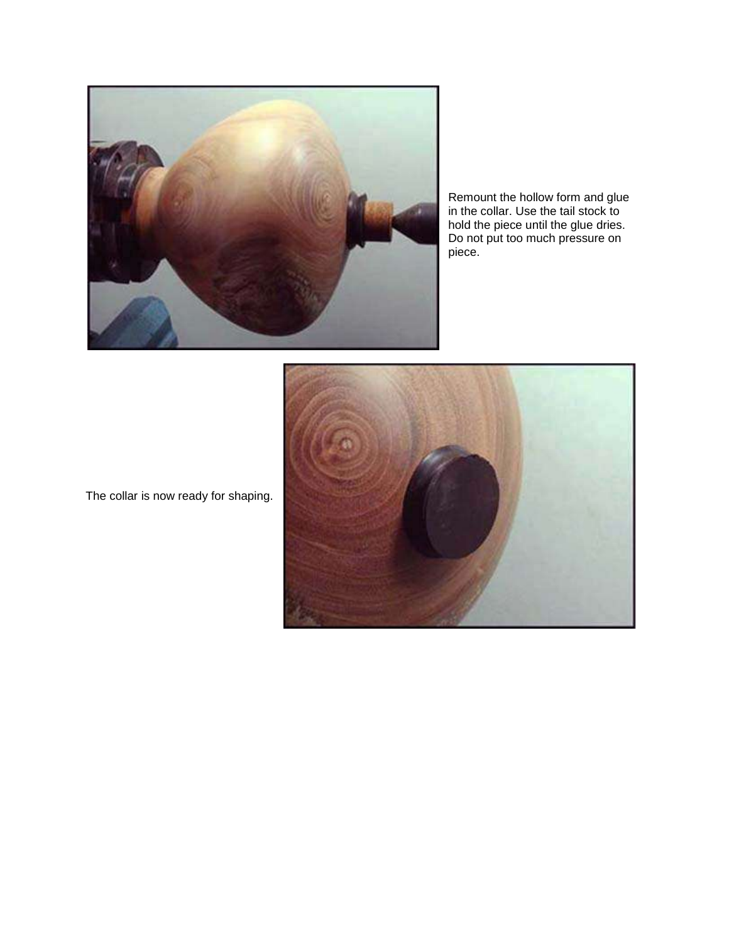

Remount the hollow form and glue in the collar. Use the tail stock to hold the piece until the glue dries. Do not put too much pressure on piece.



The collar is now ready for shaping.